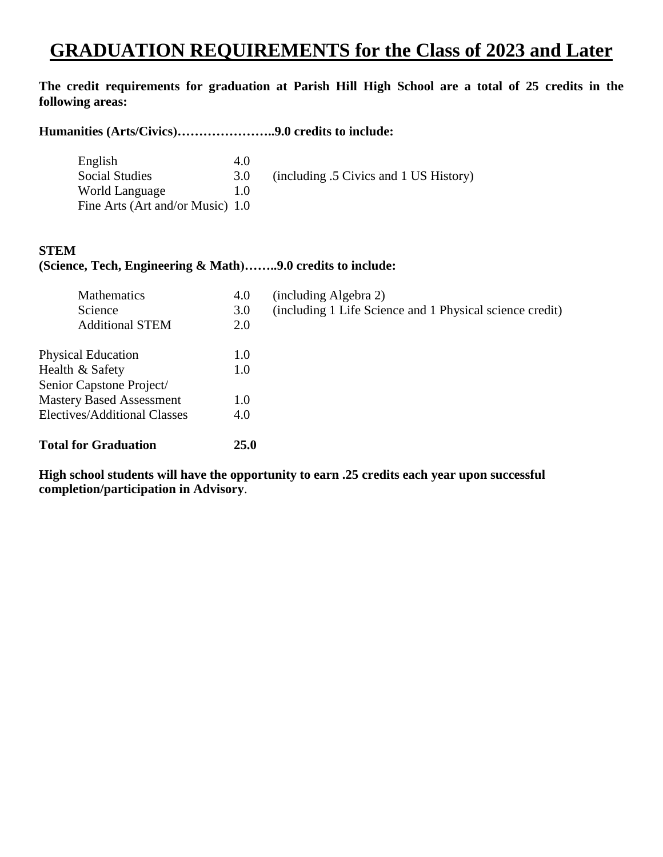# **GRADUATION REQUIREMENTS for the Class of 2023 and Later**

## **The credit requirements for graduation at Parish Hill High School are a total of 25 credits in the following areas:**

## **Humanities (Arts/Civics)…………………..9.0 credits to include:**

| English                          | 4.0            |                                        |
|----------------------------------|----------------|----------------------------------------|
| <b>Social Studies</b>            | 3.0            | (including .5 Civics and 1 US History) |
| World Language                   | 1 <sub>0</sub> |                                        |
| Fine Arts (Art and/or Music) 1.0 |                |                                        |

#### **STEM**

#### **(Science, Tech, Engineering & Math)……..9.0 credits to include:**

| 4.0         | (including Algebra 2)                                    |
|-------------|----------------------------------------------------------|
| 3.0         | (including 1 Life Science and 1 Physical science credit) |
| 2.0         |                                                          |
| 1.0         |                                                          |
| 1.0         |                                                          |
|             |                                                          |
| 1.0         |                                                          |
| 4.0         |                                                          |
| <b>25.0</b> |                                                          |
|             |                                                          |

**High school students will have the opportunity to earn .25 credits each year upon successful completion/participation in Advisory**.